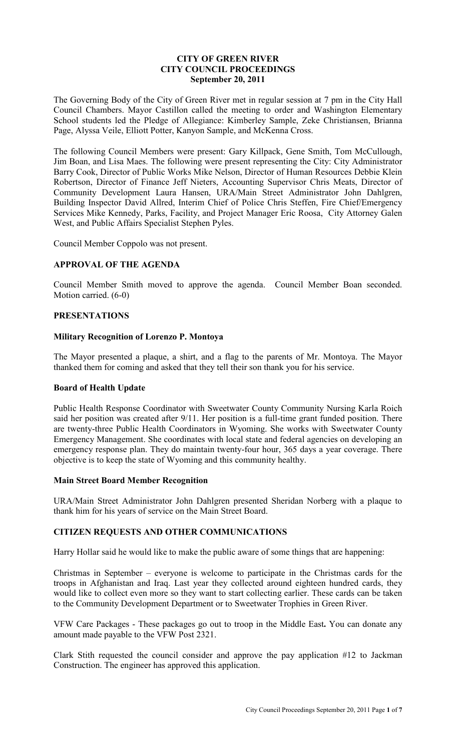# **CITY OF GREEN RIVER CITY COUNCIL PROCEEDINGS September 20, 2011**

The Governing Body of the City of Green River met in regular session at 7 pm in the City Hall Council Chambers. Mayor Castillon called the meeting to order and Washington Elementary School students led the Pledge of Allegiance: Kimberley Sample, Zeke Christiansen, Brianna Page, Alyssa Veile, Elliott Potter, Kanyon Sample, and McKenna Cross.

The following Council Members were present: Gary Killpack, Gene Smith, Tom McCullough, Jim Boan, and Lisa Maes. The following were present representing the City: City Administrator Barry Cook, Director of Public Works Mike Nelson, Director of Human Resources Debbie Klein Robertson, Director of Finance Jeff Nieters, Accounting Supervisor Chris Meats, Director of Community Development Laura Hansen, URA/Main Street Administrator John Dahlgren, Building Inspector David Allred, Interim Chief of Police Chris Steffen, Fire Chief/Emergency Services Mike Kennedy, Parks, Facility, and Project Manager Eric Roosa, City Attorney Galen West, and Public Affairs Specialist Stephen Pyles.

Council Member Coppolo was not present.

# **APPROVAL OF THE AGENDA**

Council Member Smith moved to approve the agenda. Council Member Boan seconded. Motion carried. (6-0)

# **PRESENTATIONS**

#### **Military Recognition of Lorenzo P. Montoya**

The Mayor presented a plaque, a shirt, and a flag to the parents of Mr. Montoya. The Mayor thanked them for coming and asked that they tell their son thank you for his service.

# **Board of Health Update**

Public Health Response Coordinator with Sweetwater County Community Nursing Karla Roich said her position was created after 9/11. Her position is a full-time grant funded position. There are twenty-three Public Health Coordinators in Wyoming. She works with Sweetwater County Emergency Management. She coordinates with local state and federal agencies on developing an emergency response plan. They do maintain twenty-four hour, 365 days a year coverage. There objective is to keep the state of Wyoming and this community healthy.

#### **Main Street Board Member Recognition**

URA/Main Street Administrator John Dahlgren presented Sheridan Norberg with a plaque to thank him for his years of service on the Main Street Board.

# **CITIZEN REQUESTS AND OTHER COMMUNICATIONS**

Harry Hollar said he would like to make the public aware of some things that are happening:

Christmas in September – everyone is welcome to participate in the Christmas cards for the troops in Afghanistan and Iraq. Last year they collected around eighteen hundred cards, they would like to collect even more so they want to start collecting earlier. These cards can be taken to the Community Development Department or to Sweetwater Trophies in Green River.

VFW Care Packages - These packages go out to troop in the Middle East**.** You can donate any amount made payable to the VFW Post 2321.

Clark Stith requested the council consider and approve the pay application #12 to Jackman Construction. The engineer has approved this application.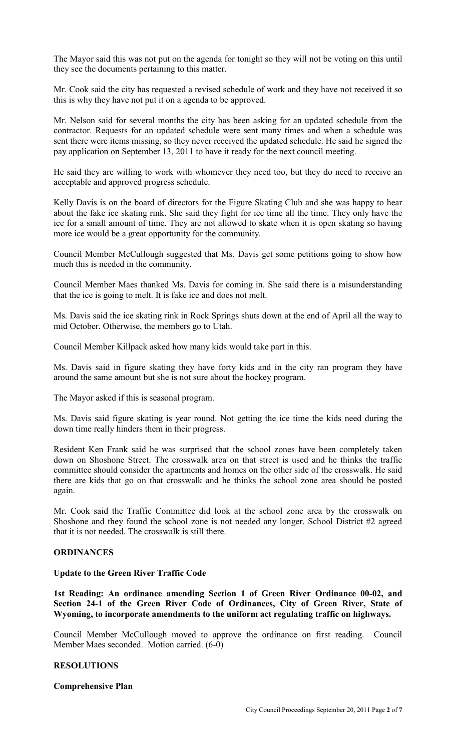The Mayor said this was not put on the agenda for tonight so they will not be voting on this until they see the documents pertaining to this matter.

Mr. Cook said the city has requested a revised schedule of work and they have not received it so this is why they have not put it on a agenda to be approved.

Mr. Nelson said for several months the city has been asking for an updated schedule from the contractor. Requests for an updated schedule were sent many times and when a schedule was sent there were items missing, so they never received the updated schedule. He said he signed the pay application on September 13, 2011 to have it ready for the next council meeting.

He said they are willing to work with whomever they need too, but they do need to receive an acceptable and approved progress schedule.

Kelly Davis is on the board of directors for the Figure Skating Club and she was happy to hear about the fake ice skating rink. She said they fight for ice time all the time. They only have the ice for a small amount of time. They are not allowed to skate when it is open skating so having more ice would be a great opportunity for the community.

Council Member McCullough suggested that Ms. Davis get some petitions going to show how much this is needed in the community.

Council Member Maes thanked Ms. Davis for coming in. She said there is a misunderstanding that the ice is going to melt. It is fake ice and does not melt.

Ms. Davis said the ice skating rink in Rock Springs shuts down at the end of April all the way to mid October. Otherwise, the members go to Utah.

Council Member Killpack asked how many kids would take part in this.

Ms. Davis said in figure skating they have forty kids and in the city ran program they have around the same amount but she is not sure about the hockey program.

The Mayor asked if this is seasonal program.

Ms. Davis said figure skating is year round. Not getting the ice time the kids need during the down time really hinders them in their progress.

Resident Ken Frank said he was surprised that the school zones have been completely taken down on Shoshone Street. The crosswalk area on that street is used and he thinks the traffic committee should consider the apartments and homes on the other side of the crosswalk. He said there are kids that go on that crosswalk and he thinks the school zone area should be posted again.

Mr. Cook said the Traffic Committee did look at the school zone area by the crosswalk on Shoshone and they found the school zone is not needed any longer. School District #2 agreed that it is not needed. The crosswalk is still there.

#### **ORDINANCES**

#### **Update to the Green River Traffic Code**

**1st Reading: An ordinance amending Section 1 of Green River Ordinance 00-02, and Section 24-1 of the Green River Code of Ordinances, City of Green River, State of Wyoming, to incorporate amendments to the uniform act regulating traffic on highways.** 

Council Member McCullough moved to approve the ordinance on first reading. Council Member Maes seconded. Motion carried. (6-0)

# **RESOLUTIONS**

#### **Comprehensive Plan**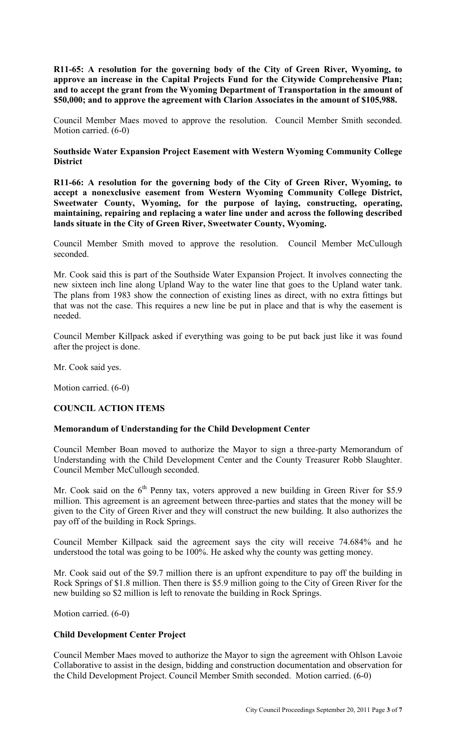**R11-65: A resolution for the governing body of the City of Green River, Wyoming, to approve an increase in the Capital Projects Fund for the Citywide Comprehensive Plan; and to accept the grant from the Wyoming Department of Transportation in the amount of \$50,000; and to approve the agreement with Clarion Associates in the amount of \$105,988.** 

Council Member Maes moved to approve the resolution. Council Member Smith seconded. Motion carried. (6-0)

**Southside Water Expansion Project Easement with Western Wyoming Community College District** 

**R11-66: A resolution for the governing body of the City of Green River, Wyoming, to accept a nonexclusive easement from Western Wyoming Community College District, Sweetwater County, Wyoming, for the purpose of laying, constructing, operating, maintaining, repairing and replacing a water line under and across the following described lands situate in the City of Green River, Sweetwater County, Wyoming.** 

Council Member Smith moved to approve the resolution. Council Member McCullough seconded.

Mr. Cook said this is part of the Southside Water Expansion Project. It involves connecting the new sixteen inch line along Upland Way to the water line that goes to the Upland water tank. The plans from 1983 show the connection of existing lines as direct, with no extra fittings but that was not the case. This requires a new line be put in place and that is why the easement is needed.

Council Member Killpack asked if everything was going to be put back just like it was found after the project is done.

Mr. Cook said yes.

Motion carried. (6-0)

# **COUNCIL ACTION ITEMS**

# **Memorandum of Understanding for the Child Development Center**

Council Member Boan moved to authorize the Mayor to sign a three-party Memorandum of Understanding with the Child Development Center and the County Treasurer Robb Slaughter. Council Member McCullough seconded.

Mr. Cook said on the  $6<sup>th</sup>$  Penny tax, voters approved a new building in Green River for \$5.9 million. This agreement is an agreement between three-parties and states that the money will be given to the City of Green River and they will construct the new building. It also authorizes the pay off of the building in Rock Springs.

Council Member Killpack said the agreement says the city will receive 74.684% and he understood the total was going to be 100%. He asked why the county was getting money.

Mr. Cook said out of the \$9.7 million there is an upfront expenditure to pay off the building in Rock Springs of \$1.8 million. Then there is \$5.9 million going to the City of Green River for the new building so \$2 million is left to renovate the building in Rock Springs.

Motion carried. (6-0)

#### **Child Development Center Project**

Council Member Maes moved to authorize the Mayor to sign the agreement with Ohlson Lavoie Collaborative to assist in the design, bidding and construction documentation and observation for the Child Development Project. Council Member Smith seconded. Motion carried. (6-0)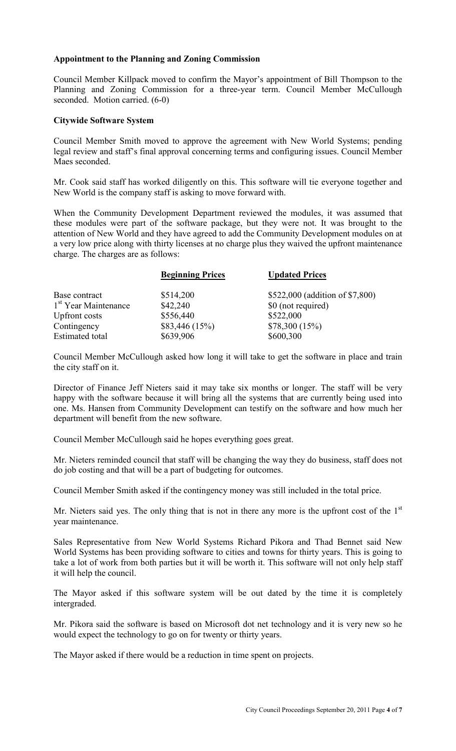# **Appointment to the Planning and Zoning Commission**

Council Member Killpack moved to confirm the Mayor's appointment of Bill Thompson to the Planning and Zoning Commission for a three-year term. Council Member McCullough seconded. Motion carried. (6-0)

#### **Citywide Software System**

Council Member Smith moved to approve the agreement with New World Systems; pending legal review and staff's final approval concerning terms and configuring issues. Council Member Maes seconded.

Mr. Cook said staff has worked diligently on this. This software will tie everyone together and New World is the company staff is asking to move forward with.

When the Community Development Department reviewed the modules, it was assumed that these modules were part of the software package, but they were not. It was brought to the attention of New World and they have agreed to add the Community Development modules on at a very low price along with thirty licenses at no charge plus they waived the upfront maintenance charge. The charges are as follows:

|                                  | <b>Beginning Prices</b> | <b>Updated Prices</b>           |
|----------------------------------|-------------------------|---------------------------------|
| Base contract                    | \$514,200               | \$522,000 (addition of \$7,800) |
| 1 <sup>st</sup> Year Maintenance | \$42,240                | \$0 (not required)              |
| <b>Upfront</b> costs             | \$556,440               | \$522,000                       |
| Contingency                      | \$83,446(15%)           | \$78,300 (15%)                  |
| <b>Estimated</b> total           | \$639,906               | \$600,300                       |

Council Member McCullough asked how long it will take to get the software in place and train the city staff on it.

Director of Finance Jeff Nieters said it may take six months or longer. The staff will be very happy with the software because it will bring all the systems that are currently being used into one. Ms. Hansen from Community Development can testify on the software and how much her department will benefit from the new software.

Council Member McCullough said he hopes everything goes great.

Mr. Nieters reminded council that staff will be changing the way they do business, staff does not do job costing and that will be a part of budgeting for outcomes.

Council Member Smith asked if the contingency money was still included in the total price.

Mr. Nieters said yes. The only thing that is not in there any more is the upfront cost of the  $1<sup>st</sup>$ year maintenance.

Sales Representative from New World Systems Richard Pikora and Thad Bennet said New World Systems has been providing software to cities and towns for thirty years. This is going to take a lot of work from both parties but it will be worth it. This software will not only help staff it will help the council.

The Mayor asked if this software system will be out dated by the time it is completely intergraded.

Mr. Pikora said the software is based on Microsoft dot net technology and it is very new so he would expect the technology to go on for twenty or thirty years.

The Mayor asked if there would be a reduction in time spent on projects.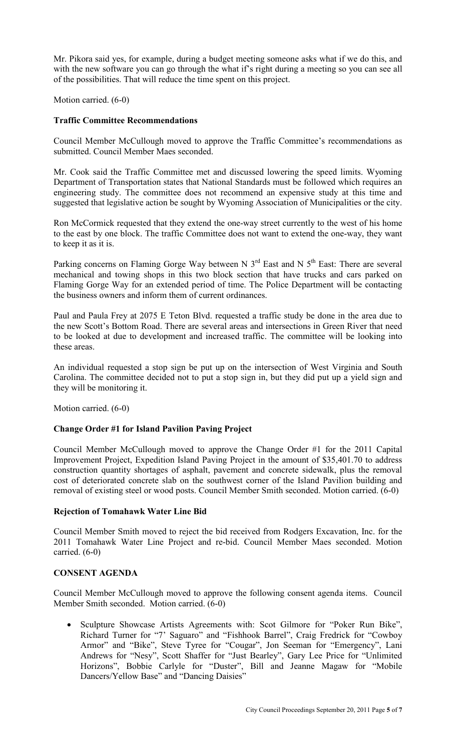Mr. Pikora said yes, for example, during a budget meeting someone asks what if we do this, and with the new software you can go through the what if's right during a meeting so you can see all of the possibilities. That will reduce the time spent on this project.

Motion carried. (6-0)

### **Traffic Committee Recommendations**

Council Member McCullough moved to approve the Traffic Committee's recommendations as submitted. Council Member Maes seconded.

Mr. Cook said the Traffic Committee met and discussed lowering the speed limits. Wyoming Department of Transportation states that National Standards must be followed which requires an engineering study. The committee does not recommend an expensive study at this time and suggested that legislative action be sought by Wyoming Association of Municipalities or the city.

Ron McCormick requested that they extend the one-way street currently to the west of his home to the east by one block. The traffic Committee does not want to extend the one-way, they want to keep it as it is.

Parking concerns on Flaming Gorge Way between N  $3<sup>rd</sup>$  East and N  $5<sup>th</sup>$  East: There are several mechanical and towing shops in this two block section that have trucks and cars parked on Flaming Gorge Way for an extended period of time. The Police Department will be contacting the business owners and inform them of current ordinances.

Paul and Paula Frey at 2075 E Teton Blvd. requested a traffic study be done in the area due to the new Scott's Bottom Road. There are several areas and intersections in Green River that need to be looked at due to development and increased traffic. The committee will be looking into these areas.

An individual requested a stop sign be put up on the intersection of West Virginia and South Carolina. The committee decided not to put a stop sign in, but they did put up a yield sign and they will be monitoring it.

Motion carried. (6-0)

# **Change Order #1 for Island Pavilion Paving Project**

Council Member McCullough moved to approve the Change Order #1 for the 2011 Capital Improvement Project, Expedition Island Paving Project in the amount of \$35,401.70 to address construction quantity shortages of asphalt, pavement and concrete sidewalk, plus the removal cost of deteriorated concrete slab on the southwest corner of the Island Pavilion building and removal of existing steel or wood posts. Council Member Smith seconded. Motion carried. (6-0)

# **Rejection of Tomahawk Water Line Bid**

Council Member Smith moved to reject the bid received from Rodgers Excavation, Inc. for the 2011 Tomahawk Water Line Project and re-bid. Council Member Maes seconded. Motion carried. (6-0)

#### **CONSENT AGENDA**

Council Member McCullough moved to approve the following consent agenda items. Council Member Smith seconded. Motion carried. (6-0)

• Sculpture Showcase Artists Agreements with: Scot Gilmore for "Poker Run Bike", Richard Turner for "7' Saguaro" and "Fishhook Barrel", Craig Fredrick for "Cowboy Armor" and "Bike", Steve Tyree for "Cougar", Jon Seeman for "Emergency", Lani Andrews for "Nesy", Scott Shaffer for "Just Bearley", Gary Lee Price for "Unlimited Horizons", Bobbie Carlyle for "Duster", Bill and Jeanne Magaw for "Mobile Dancers/Yellow Base" and "Dancing Daisies"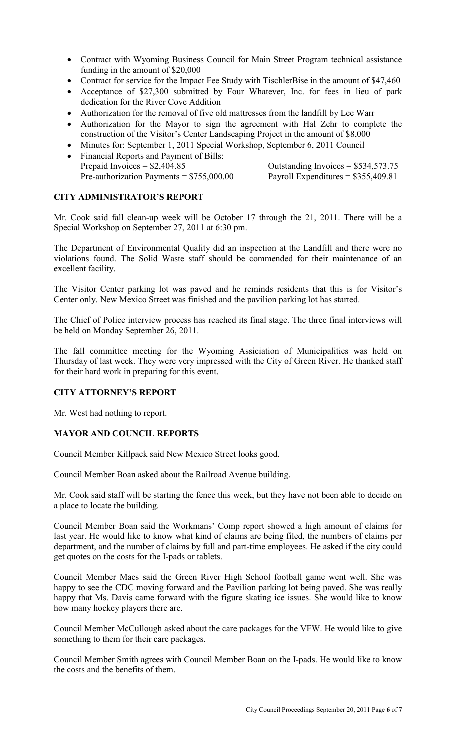- Contract with Wyoming Business Council for Main Street Program technical assistance funding in the amount of \$20,000
- Contract for service for the Impact Fee Study with TischlerBise in the amount of \$47,460
- Acceptance of \$27,300 submitted by Four Whatever, Inc. for fees in lieu of park dedication for the River Cove Addition
- Authorization for the removal of five old mattresses from the landfill by Lee Warr
- Authorization for the Mayor to sign the agreement with Hal Zehr to complete the construction of the Visitor's Center Landscaping Project in the amount of \$8,000
- Minutes for: September 1, 2011 Special Workshop, September 6, 2011 Council
- Financial Reports and Payment of Bills:<br>Prepaid Invoices =  $$2,404.85$ Pre-authorization Payments =  $$755,000.00$  Payroll Expenditures =  $$355,409.81$

Outstanding Invoices =  $$534,573.75$ 

# **CITY ADMINISTRATOR'S REPORT**

Mr. Cook said fall clean-up week will be October 17 through the 21, 2011. There will be a Special Workshop on September 27, 2011 at 6:30 pm.

The Department of Environmental Quality did an inspection at the Landfill and there were no violations found. The Solid Waste staff should be commended for their maintenance of an excellent facility.

The Visitor Center parking lot was paved and he reminds residents that this is for Visitor's Center only. New Mexico Street was finished and the pavilion parking lot has started.

The Chief of Police interview process has reached its final stage. The three final interviews will be held on Monday September 26, 2011.

The fall committee meeting for the Wyoming Assiciation of Municipalities was held on Thursday of last week. They were very impressed with the City of Green River. He thanked staff for their hard work in preparing for this event.

# **CITY ATTORNEY'S REPORT**

Mr. West had nothing to report.

# **MAYOR AND COUNCIL REPORTS**

Council Member Killpack said New Mexico Street looks good.

Council Member Boan asked about the Railroad Avenue building.

Mr. Cook said staff will be starting the fence this week, but they have not been able to decide on a place to locate the building.

Council Member Boan said the Workmans' Comp report showed a high amount of claims for last year. He would like to know what kind of claims are being filed, the numbers of claims per department, and the number of claims by full and part-time employees. He asked if the city could get quotes on the costs for the I-pads or tablets.

Council Member Maes said the Green River High School football game went well. She was happy to see the CDC moving forward and the Pavilion parking lot being paved. She was really happy that Ms. Davis came forward with the figure skating ice issues. She would like to know how many hockey players there are.

Council Member McCullough asked about the care packages for the VFW. He would like to give something to them for their care packages.

Council Member Smith agrees with Council Member Boan on the I-pads. He would like to know the costs and the benefits of them.